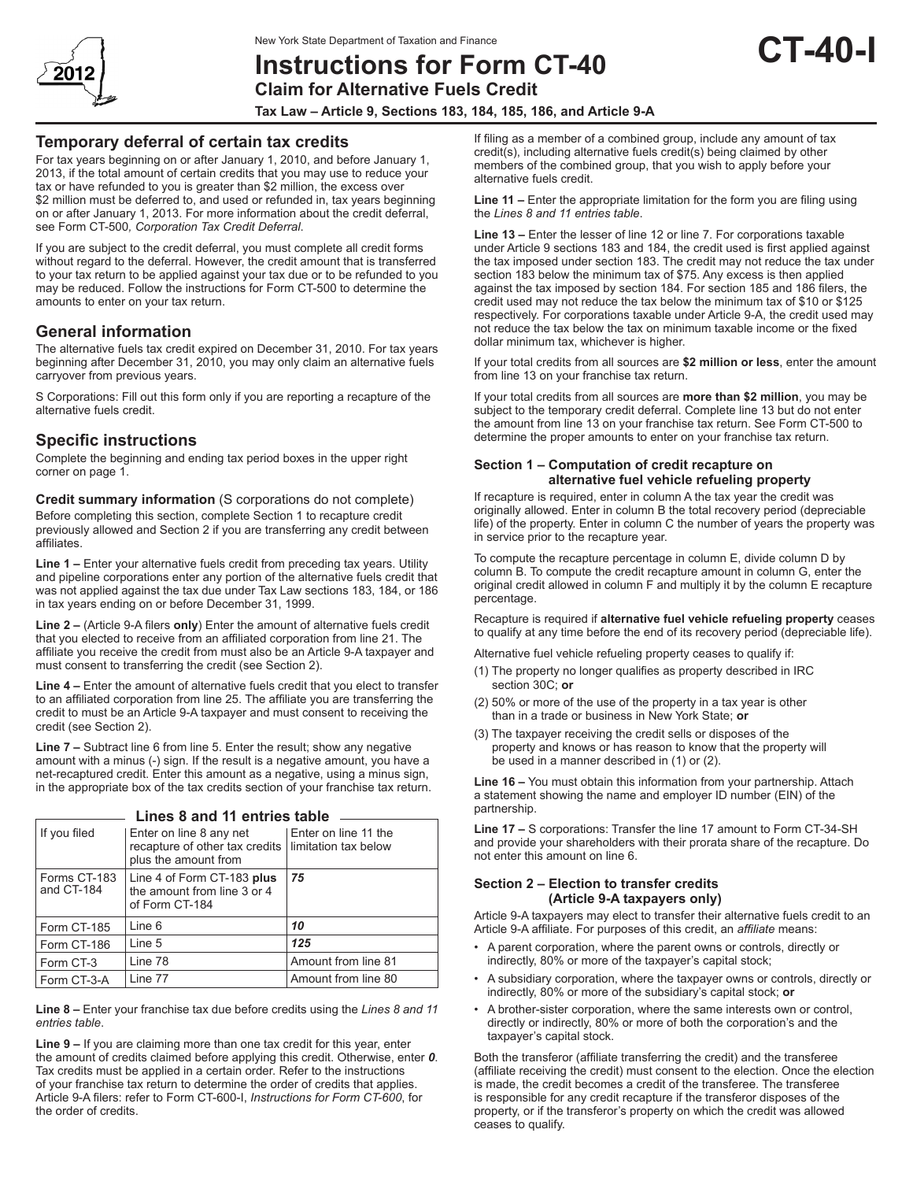

# **Instructions for Form CT-40**

**Claim for Alternative Fuels Credit**

**Tax Law – Article 9, Sections 183, 184, 185, 186, and Article 9-A**

### **Temporary deferral of certain tax credits**

For tax years beginning on or after January 1, 2010, and before January 1, 2013, if the total amount of certain credits that you may use to reduce your tax or have refunded to you is greater than \$2 million, the excess over \$2 million must be deferred to, and used or refunded in, tax years beginning on or after January 1, 2013. For more information about the credit deferral, see Form CT-500*, Corporation Tax Credit Deferral*.

If you are subject to the credit deferral, you must complete all credit forms without regard to the deferral. However, the credit amount that is transferred to your tax return to be applied against your tax due or to be refunded to you may be reduced. Follow the instructions for Form CT-500 to determine the amounts to enter on your tax return.

## **General information**

The alternative fuels tax credit expired on December 31, 2010. For tax years beginning after December 31, 2010, you may only claim an alternative fuels carryover from previous years.

S Corporations: Fill out this form only if you are reporting a recapture of the alternative fuels credit.

## **Specific instructions**

Complete the beginning and ending tax period boxes in the upper right corner on page 1.

**Credit summary information** (S corporations do not complete) Before completing this section, complete Section 1 to recapture credit previously allowed and Section 2 if you are transferring any credit between affiliates.

**Line 1 –** Enter your alternative fuels credit from preceding tax years. Utility and pipeline corporations enter any portion of the alternative fuels credit that was not applied against the tax due under Tax Law sections 183, 184, or 186 in tax years ending on or before December 31, 1999.

**Line 2 –** (Article 9-A filers **only**) Enter the amount of alternative fuels credit that you elected to receive from an affiliated corporation from line 21. The affiliate you receive the credit from must also be an Article 9-A taxpayer and must consent to transferring the credit (see Section 2).

**Line 4 –** Enter the amount of alternative fuels credit that you elect to transfer to an affiliated corporation from line 25. The affiliate you are transferring the credit to must be an Article 9-A taxpayer and must consent to receiving the credit (see Section 2).

**Line 7 –** Subtract line 6 from line 5. Enter the result; show any negative amount with a minus (-) sign. If the result is a negative amount, you have a net-recaptured credit. Enter this amount as a negative, using a minus sign, in the appropriate box of the tax credits section of your franchise tax return.

| LIIIGS 0 AIIU TI GIILIIGS LADIG |                                                                                                          |                        |
|---------------------------------|----------------------------------------------------------------------------------------------------------|------------------------|
| If you filed                    | Enter on line 8 any net<br>recapture of other tax credits   limitation tax below<br>plus the amount from | l Enter on line 11 the |
| Forms CT-183<br>and CT-184      | Line 4 of Form CT-183 plus<br>the amount from line 3 or 4<br>of Form CT-184                              | 75                     |
| Form CT-185                     | Line 6                                                                                                   | 10                     |
| Form CT-186                     | Line 5                                                                                                   | 125                    |
| Form CT-3                       | Line 78                                                                                                  | Amount from line 81    |
| Form CT-3-A                     | Line 77                                                                                                  | Amount from line 80    |

**Lines 8 and 11 entries table**

**Line 8 –** Enter your franchise tax due before credits using the *Lines 8 and 11 entries table*.

**Line 9 –** If you are claiming more than one tax credit for this year, enter the amount of credits claimed before applying this credit. Otherwise, enter *0*. Tax credits must be applied in a certain order. Refer to the instructions of your franchise tax return to determine the order of credits that applies. Article 9-A filers: refer to Form CT-600-I, *Instructions for Form CT-600*, for the order of credits.

If filing as a member of a combined group, include any amount of tax credit(s), including alternative fuels credit(s) being claimed by other members of the combined group, that you wish to apply before your alternative fuels credit.

**CT-40-I**

**Line 11 –** Enter the appropriate limitation for the form you are filing using the *Lines 8 and 11 entries table*.

**Line 13 –** Enter the lesser of line 12 or line 7. For corporations taxable under Article 9 sections 183 and 184, the credit used is first applied against the tax imposed under section 183. The credit may not reduce the tax under section 183 below the minimum tax of \$75. Any excess is then applied against the tax imposed by section 184. For section 185 and 186 filers, the credit used may not reduce the tax below the minimum tax of \$10 or \$125 respectively. For corporations taxable under Article 9-A, the credit used may not reduce the tax below the tax on minimum taxable income or the fixed dollar minimum tax, whichever is higher.

If your total credits from all sources are **\$2 million or less**, enter the amount from line 13 on your franchise tax return.

If your total credits from all sources are **more than \$2 million**, you may be subject to the temporary credit deferral. Complete line 13 but do not enter the amount from line 13 on your franchise tax return. See Form CT-500 to determine the proper amounts to enter on your franchise tax return.

#### **Section 1 – Computation of credit recapture on alternative fuel vehicle refueling property**

If recapture is required, enter in column A the tax year the credit was originally allowed. Enter in column B the total recovery period (depreciable life) of the property. Enter in column C the number of years the property was in service prior to the recapture year.

To compute the recapture percentage in column E, divide column D by column B. To compute the credit recapture amount in column G, enter the original credit allowed in column F and multiply it by the column E recapture percentage.

Recapture is required if **alternative fuel vehicle refueling property** ceases to qualify at any time before the end of its recovery period (depreciable life).

Alternative fuel vehicle refueling property ceases to qualify if:

- (1) The property no longer qualifies as property described in IRC section 30C; **or**
- (2) 50% or more of the use of the property in a tax year is other than in a trade or business in New York State; **or**
- (3) The taxpayer receiving the credit sells or disposes of the property and knows or has reason to know that the property will be used in a manner described in (1) or (2).

**Line 16 –** You must obtain this information from your partnership. Attach a statement showing the name and employer ID number (EIN) of the partnership.

**Line 17 –** S corporations: Transfer the line 17 amount to Form CT-34-SH and provide your shareholders with their prorata share of the recapture. Do not enter this amount on line 6.

#### **Section 2 – Election to transfer credits (Article 9-A taxpayers only)**

Article 9-A taxpayers may elect to transfer their alternative fuels credit to an Article 9-A affiliate. For purposes of this credit, an *affiliate* means:

- A parent corporation, where the parent owns or controls, directly or indirectly, 80% or more of the taxpayer's capital stock;
- A subsidiary corporation, where the taxpayer owns or controls, directly or indirectly, 80% or more of the subsidiary's capital stock; **or**
- A brother-sister corporation, where the same interests own or control, directly or indirectly, 80% or more of both the corporation's and the taxpayer's capital stock.

Both the transferor (affiliate transferring the credit) and the transferee (affiliate receiving the credit) must consent to the election. Once the election is made, the credit becomes a credit of the transferee. The transferee is responsible for any credit recapture if the transferor disposes of the property, or if the transferor's property on which the credit was allowed ceases to qualify.